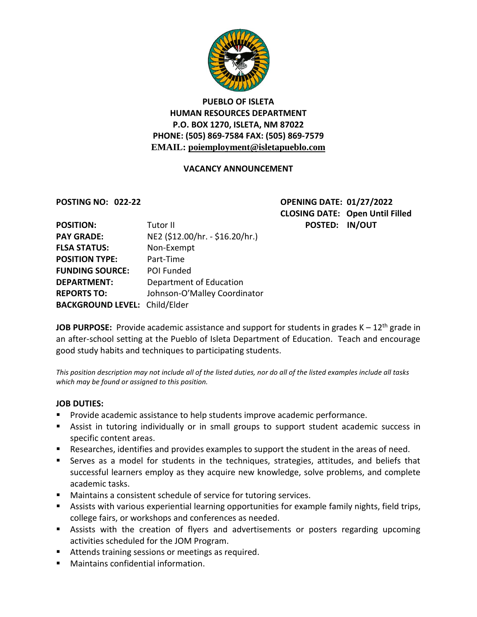

# **PUEBLO OF ISLETA HUMAN RESOURCES DEPARTMENT P.O. BOX 1270, ISLETA, NM 87022 PHONE: (505) 869-7584 FAX: (505) 869-7579 EMAIL: poiemployment@isletapueblo.com**

### **VACANCY ANNOUNCEMENT**

**POSTING NO: 022-22 OPENING DATE: 01/27/2022 CLOSING DATE: Open Until Filled POSTED: IN/OUT** 

| <b>POSITION:</b>                     | Tutor II                        |
|--------------------------------------|---------------------------------|
| <b>PAY GRADE:</b>                    | NE2 (\$12.00/hr. - \$16.20/hr.) |
| <b>FLSA STATUS:</b>                  | Non-Exempt                      |
| <b>POSITION TYPE:</b>                | Part-Time                       |
| <b>FUNDING SOURCE:</b>               | POI Funded                      |
| <b>DEPARTMENT:</b>                   | Department of Education         |
| <b>REPORTS TO:</b>                   | Johnson-O'Malley Coordinator    |
| <b>BACKGROUND LEVEL: Child/Elder</b> |                                 |

**JOB PURPOSE:** Provide academic assistance and support for students in grades K – 12<sup>th</sup> grade in an after-school setting at the Pueblo of Isleta Department of Education. Teach and encourage good study habits and techniques to participating students.

*This position description may not include all of the listed duties, nor do all of the listed examples include all tasks which may be found or assigned to this position.*

### **JOB DUTIES:**

- Provide academic assistance to help students improve academic performance.
- Assist in tutoring individually or in small groups to support student academic success in specific content areas.
- Researches, identifies and provides examples to support the student in the areas of need.
- Serves as a model for students in the techniques, strategies, attitudes, and beliefs that successful learners employ as they acquire new knowledge, solve problems, and complete academic tasks.
- Maintains a consistent schedule of service for tutoring services.
- Assists with various experiential learning opportunities for example family nights, field trips, college fairs, or workshops and conferences as needed.
- Assists with the creation of flyers and advertisements or posters regarding upcoming activities scheduled for the JOM Program.
- **Attends training sessions or meetings as required.**
- Maintains confidential information.